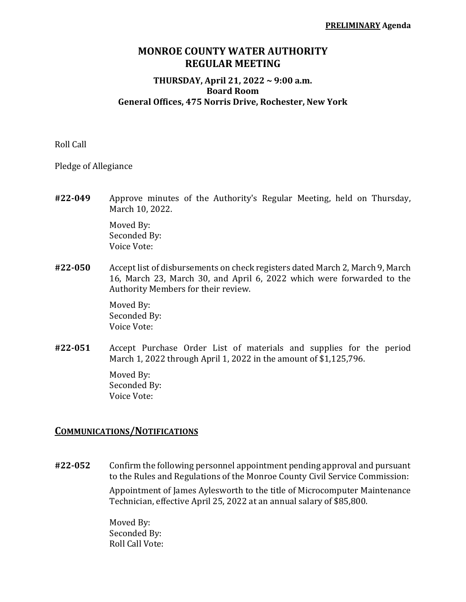## **MONROE COUNTY WATER AUTHORITY REGULAR MEETING**

#### **THURSDAY, April 21, 2022 ~ 9:00 a.m. Board Room General Offices, 475 Norris Drive, Rochester, New York**

Roll Call

Pledge of Allegiance

**#22-049** Approve minutes of the Authority's Regular Meeting, held on Thursday, March 10, 2022.

> Moved By: Seconded By: Voice Vote:

**#22-050** Accept list of disbursements on check registers dated March 2, March 9, March 16, March 23, March 30, and April 6, 2022 which were forwarded to the Authority Members for their review.

> Moved By: Seconded By: Voice Vote:

**#22-051** Accept Purchase Order List of materials and supplies for the period March 1, 2022 through April 1, 2022 in the amount of \$1,125,796.

> Moved By: Seconded By: Voice Vote:

#### **COMMUNICATIONS/NOTIFICATIONS**

**#22-052** Confirm the following personnel appointment pending approval and pursuant to the Rules and Regulations of the Monroe County Civil Service Commission:

> Appointment of James Aylesworth to the title of Microcomputer Maintenance Technician, effective April 25, 2022 at an annual salary of \$85,800.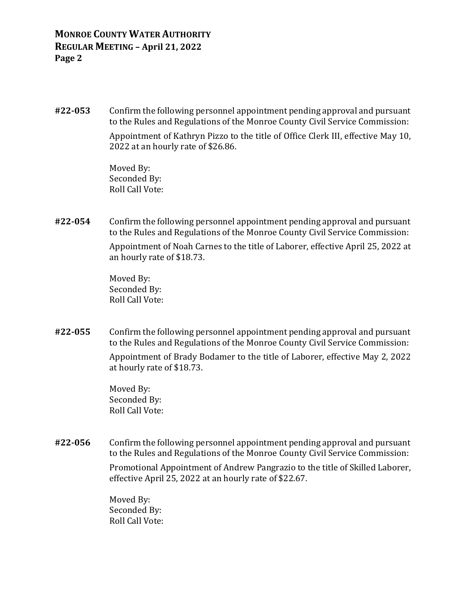**#22-053** Confirm the following personnel appointment pending approval and pursuant to the Rules and Regulations of the Monroe County Civil Service Commission:

> Appointment of Kathryn Pizzo to the title of Office Clerk III, effective May 10, 2022 at an hourly rate of \$26.86.

Moved By: Seconded By: Roll Call Vote:

**#22-054** Confirm the following personnel appointment pending approval and pursuant to the Rules and Regulations of the Monroe County Civil Service Commission:

> Appointment of Noah Carnes to the title of Laborer, effective April 25, 2022 at an hourly rate of \$18.73.

Moved By: Seconded By: Roll Call Vote:

**#22-055** Confirm the following personnel appointment pending approval and pursuant to the Rules and Regulations of the Monroe County Civil Service Commission:

> Appointment of Brady Bodamer to the title of Laborer, effective May 2, 2022 at hourly rate of \$18.73.

Moved By: Seconded By: Roll Call Vote:

**#22-056** Confirm the following personnel appointment pending approval and pursuant to the Rules and Regulations of the Monroe County Civil Service Commission:

> Promotional Appointment of Andrew Pangrazio to the title of Skilled Laborer, effective April 25, 2022 at an hourly rate of \$22.67.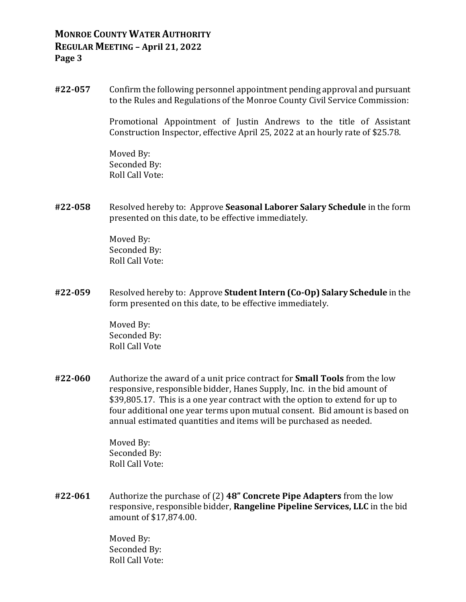**#22-057** Confirm the following personnel appointment pending approval and pursuant to the Rules and Regulations of the Monroe County Civil Service Commission:

> Promotional Appointment of Justin Andrews to the title of Assistant Construction Inspector, effective April 25, 2022 at an hourly rate of \$25.78.

Moved By: Seconded By: Roll Call Vote:

**#22-058** Resolved hereby to: Approve **Seasonal Laborer Salary Schedule** in the form presented on this date, to be effective immediately.

> Moved By: Seconded By: Roll Call Vote:

**#22-059** Resolved hereby to: Approve **Student Intern (Co-Op) Salary Schedule** in the form presented on this date, to be effective immediately.

> Moved By: Seconded By: Roll Call Vote

**#22-060** Authorize the award of a unit price contract for **Small Tools** from the low responsive, responsible bidder, Hanes Supply, Inc. in the bid amount of \$39,805.17. This is a one year contract with the option to extend for up to four additional one year terms upon mutual consent. Bid amount is based on annual estimated quantities and items will be purchased as needed.

> Moved By: Seconded By: Roll Call Vote:

**#22-061** Authorize the purchase of (2) **48" Concrete Pipe Adapters** from the low responsive, responsible bidder, **Rangeline Pipeline Services, LLC** in the bid amount of \$17,874.00.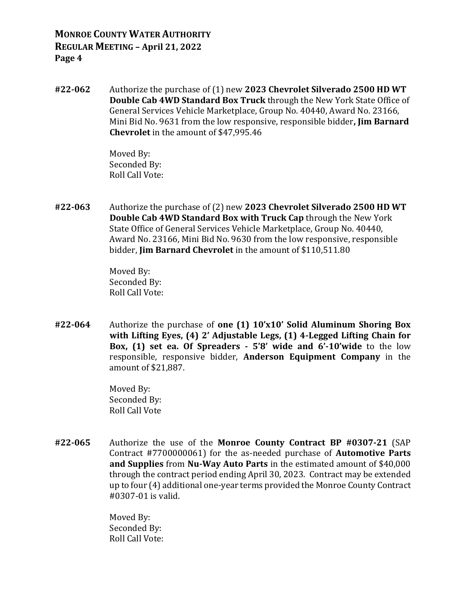**#22-062** Authorize the purchase of (1) new **2023 Chevrolet Silverado 2500 HD WT Double Cab 4WD Standard Box Truck** through the New York State Office of General Services Vehicle Marketplace, Group No. 40440, Award No. 23166, Mini Bid No. 9631 from the low responsive, responsible bidder**, Jim Barnard Chevrolet** in the amount of \$47,995.46

> Moved By: Seconded By: Roll Call Vote:

**#22-063** Authorize the purchase of (2) new **2023 Chevrolet Silverado 2500 HD WT Double Cab 4WD Standard Box with Truck Cap** through the New York State Office of General Services Vehicle Marketplace, Group No. 40440, Award No. 23166, Mini Bid No. 9630 from the low responsive, responsible bidder, **Jim Barnard Chevrolet** in the amount of \$110,511.80

> Moved By: Seconded By: Roll Call Vote:

**#22-064** Authorize the purchase of **one (1) 10'x10' Solid Aluminum Shoring Box with Lifting Eyes, (4) 2' Adjustable Legs, (1) 4-Legged Lifting Chain for Box, (1) set ea. Of Spreaders - 5'8' wide and 6'-10'wide** to the low responsible, responsive bidder, **Anderson Equipment Company** in the amount of \$21,887.

> Moved By: Seconded By: Roll Call Vote

**#22-065** Authorize the use of the **Monroe County Contract BP #0307-21** (SAP Contract #7700000061) for the as-needed purchase of **Automotive Parts and Supplies** from **Nu-Way Auto Parts** in the estimated amount of \$40,000 through the contract period ending April 30, 2023. Contract may be extended up to four (4) additional one-year terms provided the Monroe County Contract #0307-01 is valid.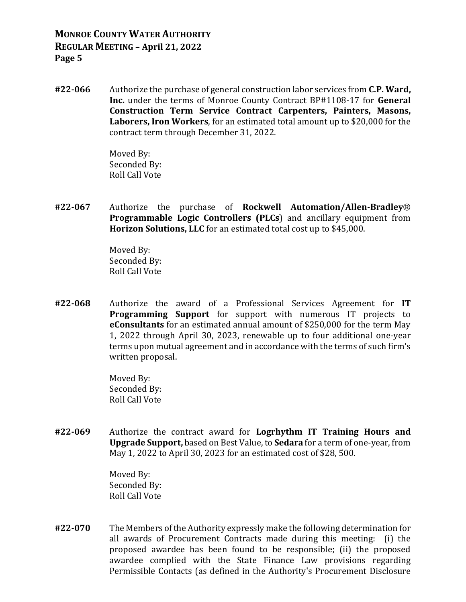**#22-066** Authorize the purchase of general construction labor services from **C.P. Ward, Inc.** under the terms of Monroe County Contract BP#1108-17 for **General Construction Term Service Contract Carpenters, Painters, Masons, Laborers, Iron Workers**, for an estimated total amount up to \$20,000 for the contract term through December 31, 2022.

> Moved By: Seconded By: Roll Call Vote

**#22-067** Authorize the purchase of **Rockwell Automation/Allen-Bradley**® **Programmable Logic Controllers (PLCs**) and ancillary equipment from **Horizon Solutions, LLC** for an estimated total cost up to \$45,000.

> Moved By: Seconded By: Roll Call Vote

**#22-068** Authorize the award of a Professional Services Agreement for **IT Programming Support** for support with numerous IT projects to **eConsultants** for an estimated annual amount of \$250,000 for the term May 1, 2022 through April 30, 2023, renewable up to four additional one-year terms upon mutual agreement and in accordance with the terms of such firm's written proposal.

> Moved By: Seconded By: Roll Call Vote

**#22-069** Authorize the contract award for **Logrhythm IT Training Hours and Upgrade Support,** based on Best Value, to **Sedara** for a term of one-year, from May 1, 2022 to April 30, 2023 for an estimated cost of \$28, 500.

> Moved By: Seconded By: Roll Call Vote

**#22-070** The Members of the Authority expressly make the following determination for all awards of Procurement Contracts made during this meeting: (i) the proposed awardee has been found to be responsible; (ii) the proposed awardee complied with the State Finance Law provisions regarding Permissible Contacts (as defined in the Authority's Procurement Disclosure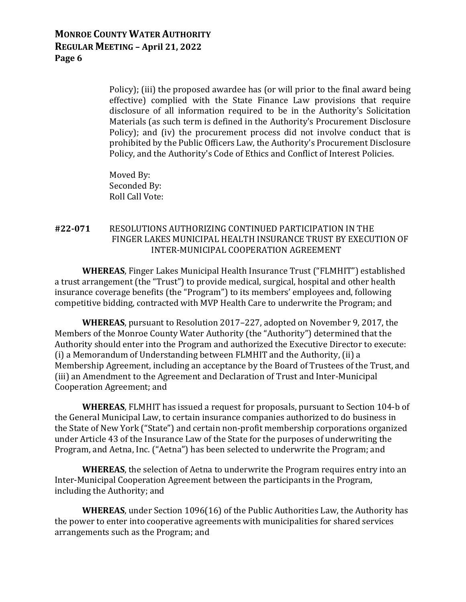Policy); (iii) the proposed awardee has (or will prior to the final award being effective) complied with the State Finance Law provisions that require disclosure of all information required to be in the Authority's Solicitation Materials (as such term is defined in the Authority's Procurement Disclosure Policy); and (iv) the procurement process did not involve conduct that is prohibited by the Public Officers Law, the Authority's Procurement Disclosure Policy, and the Authority's Code of Ethics and Conflict of Interest Policies.

Moved By: Seconded By: Roll Call Vote:

#### **#22-071** RESOLUTIONS AUTHORIZING CONTINUED PARTICIPATION IN THE FINGER LAKES MUNICIPAL HEALTH INSURANCE TRUST BY EXECUTION OF INTER-MUNICIPAL COOPERATION AGREEMENT

**WHEREAS**, Finger Lakes Municipal Health Insurance Trust ("FLMHIT") established a trust arrangement (the "Trust") to provide medical, surgical, hospital and other health insurance coverage benefits (the "Program") to its members' employees and, following competitive bidding, contracted with MVP Health Care to underwrite the Program; and

**WHEREAS**, pursuant to Resolution 2017–227, adopted on November 9, 2017, the Members of the Monroe County Water Authority (the "Authority") determined that the Authority should enter into the Program and authorized the Executive Director to execute: (i) a Memorandum of Understanding between FLMHIT and the Authority, (ii) a Membership Agreement, including an acceptance by the Board of Trustees of the Trust, and (iii) an Amendment to the Agreement and Declaration of Trust and Inter-Municipal Cooperation Agreement; and

**WHEREAS**, FLMHIT has issued a request for proposals, pursuant to Section 104-b of the General Municipal Law, to certain insurance companies authorized to do business in the State of New York ("State") and certain non-profit membership corporations organized under Article 43 of the Insurance Law of the State for the purposes of underwriting the Program, and Aetna, Inc. ("Aetna") has been selected to underwrite the Program; and

**WHEREAS**, the selection of Aetna to underwrite the Program requires entry into an Inter-Municipal Cooperation Agreement between the participants in the Program, including the Authority; and

**WHEREAS**, under Section 1096(16) of the Public Authorities Law, the Authority has the power to enter into cooperative agreements with municipalities for shared services arrangements such as the Program; and